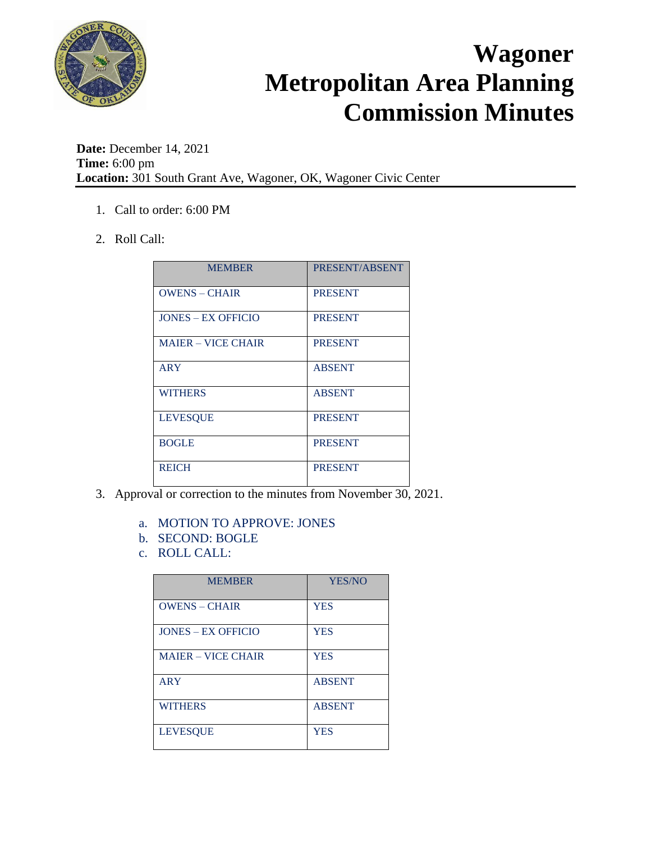

**Date:** December 14, 2021 **Time:** 6:00 pm **Location:** 301 South Grant Ave, Wagoner, OK, Wagoner Civic Center

- 1. Call to order: 6:00 PM
- 2. Roll Call:

| <b>MEMBER</b>             | PRESENT/ABSENT |
|---------------------------|----------------|
| <b>OWENS - CHAIR</b>      | <b>PRESENT</b> |
| <b>JONES – EX OFFICIO</b> | <b>PRESENT</b> |
| <b>MAJER – VICE CHAIR</b> | <b>PRESENT</b> |
| ARY                       | <b>ABSENT</b>  |
| <b>WITHERS</b>            | <b>ABSENT</b>  |
| <b>LEVESQUE</b>           | <b>PRESENT</b> |
| <b>BOGLE</b>              | <b>PRESENT</b> |
| <b>REICH</b>              | <b>PRESENT</b> |

- 3. Approval or correction to the minutes from November 30, 2021.
	- a. MOTION TO APPROVE: JONES
	- b. SECOND: BOGLE
	- c. ROLL CALL:

| <b>MEMBER</b>             | YES/NO        |
|---------------------------|---------------|
| <b>OWENS – CHAIR</b>      | <b>YES</b>    |
| <b>JONES – EX OFFICIO</b> | <b>YES</b>    |
| <b>MAIER - VICE CHAIR</b> | <b>YES</b>    |
| ARY                       | <b>ABSENT</b> |
| <b>WITHERS</b>            | <b>ABSENT</b> |
| <b>LEVESOUE</b>           | <b>YES</b>    |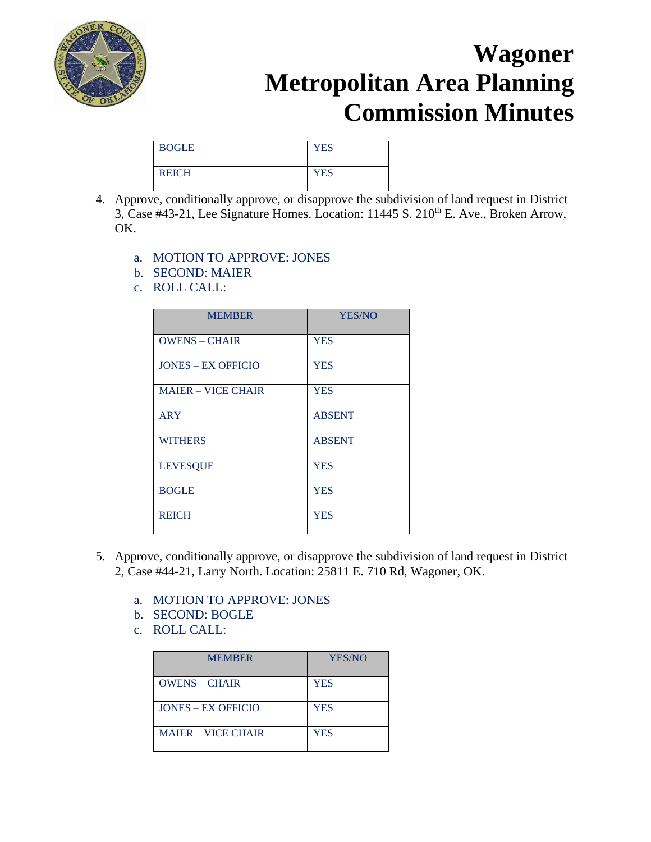

| <b>BOGLE</b> | <b>YES</b> |
|--------------|------------|
| <b>REICH</b> | <b>YES</b> |

- 4. Approve, conditionally approve, or disapprove the subdivision of land request in District 3, Case #43-21, Lee Signature Homes. Location:  $11445$  S.  $210^{th}$  E. Ave., Broken Arrow, OK.
	- a. MOTION TO APPROVE: JONES
	- b. SECOND: MAIER
	- c. ROLL CALL:

| <b>MEMBER</b>             | <b>YES/NO</b> |
|---------------------------|---------------|
| <b>OWENS - CHAIR</b>      | <b>YES</b>    |
| <b>JONES - EX OFFICIO</b> | <b>YES</b>    |
| <b>MAJER – VICE CHAIR</b> | <b>YES</b>    |
| <b>ARY</b>                | <b>ABSENT</b> |
| <b>WITHERS</b>            | <b>ABSENT</b> |
| <b>LEVESQUE</b>           | <b>YES</b>    |
| <b>BOGLE</b>              | <b>YES</b>    |
| <b>REICH</b>              | <b>YES</b>    |

- 5. Approve, conditionally approve, or disapprove the subdivision of land request in District 2, Case #44-21, Larry North. Location: 25811 E. 710 Rd, Wagoner, OK.
	- a. MOTION TO APPROVE: JONES
	- b. SECOND: BOGLE
	- c. ROLL CALL:

| <b>MEMBER</b>             | YES/NO     |
|---------------------------|------------|
| $OWENS - CHAIR$           | <b>YES</b> |
| $IONES - EX OFFICIO$      | <b>YES</b> |
| <b>MAJER – VICE CHAIR</b> | <b>YES</b> |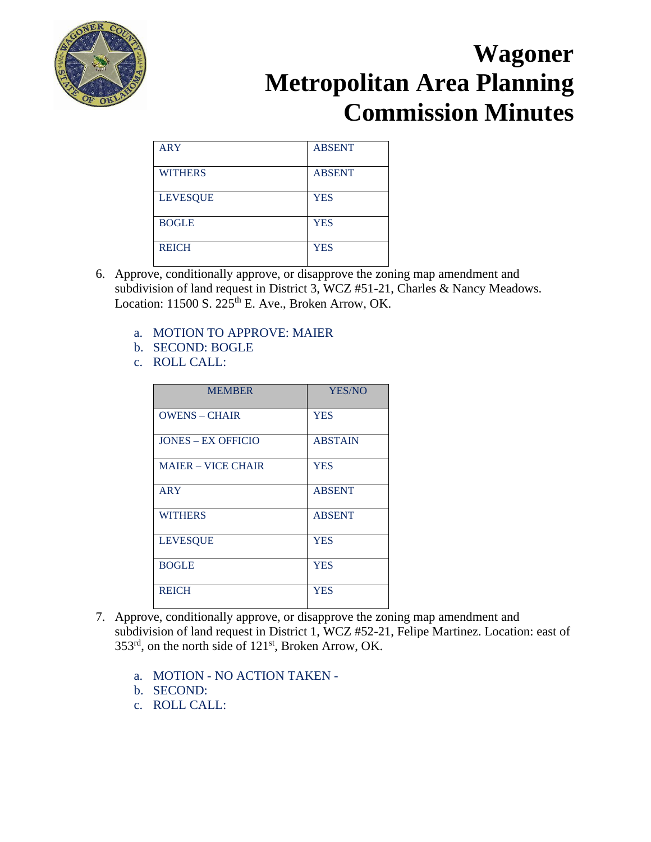

| <b>ARY</b>      | <b>ABSENT</b> |
|-----------------|---------------|
| <b>WITHERS</b>  | <b>ABSENT</b> |
| <b>LEVESQUE</b> | <b>YES</b>    |
| <b>BOGLE</b>    | <b>YES</b>    |
| <b>REICH</b>    | <b>YES</b>    |

- 6. Approve, conditionally approve, or disapprove the zoning map amendment and subdivision of land request in District 3, WCZ #51-21, Charles & Nancy Meadows. Location:  $11500$  S.  $225<sup>th</sup>$  E. Ave., Broken Arrow, OK.
	- a. MOTION TO APPROVE: MAIER
	- b. SECOND: BOGLE
	- c. ROLL CALL:

| <b>MEMBER</b>             | YES/NO         |
|---------------------------|----------------|
| <b>OWENS – CHAIR</b>      | <b>YES</b>     |
| <b>JONES - EX OFFICIO</b> | <b>ABSTAIN</b> |
| <b>MAIER - VICE CHAIR</b> | <b>YES</b>     |
| <b>ARY</b>                | <b>ABSENT</b>  |
| <b>WITHERS</b>            | <b>ABSENT</b>  |
| <b>LEVESQUE</b>           | <b>YES</b>     |
| <b>BOGLE</b>              | <b>YES</b>     |
| <b>REICH</b>              | <b>YES</b>     |

- 7. Approve, conditionally approve, or disapprove the zoning map amendment and subdivision of land request in District 1, WCZ #52-21, Felipe Martinez. Location: east of 353rd, on the north side of 121st, Broken Arrow, OK.
	- a. MOTION NO ACTION TAKEN -
	- b. SECOND:
	- c. ROLL CALL: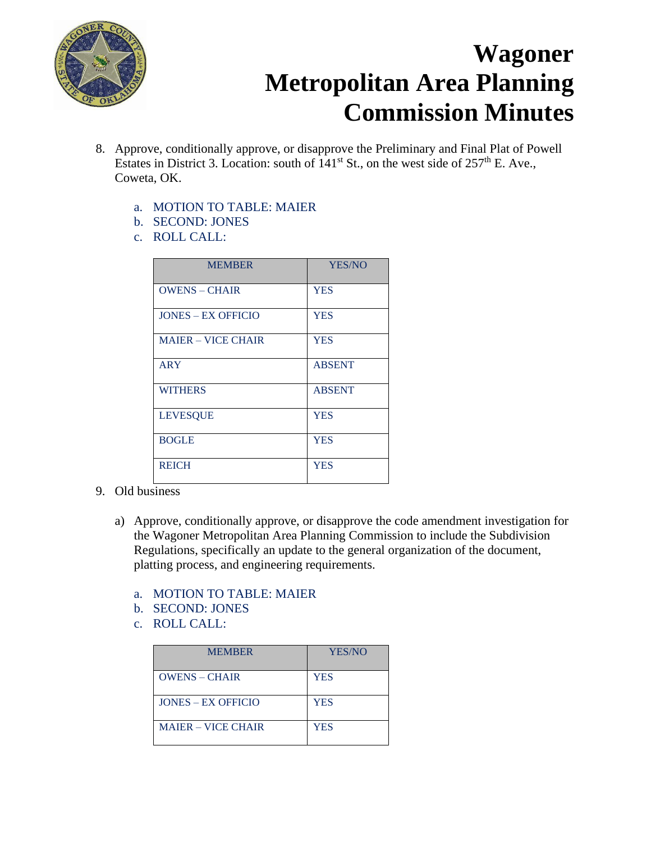

- 8. Approve, conditionally approve, or disapprove the Preliminary and Final Plat of Powell Estates in District 3. Location: south of  $141<sup>st</sup>$  St., on the west side of 257<sup>th</sup> E. Ave., Coweta, OK.
	- a. MOTION TO TABLE: MAIER
	- b. SECOND: JONES
	- c. ROLL CALL:

| <b>MEMBER</b>             | YES/NO        |
|---------------------------|---------------|
| <b>OWENS - CHAIR</b>      | <b>YES</b>    |
| <b>JONES – EX OFFICIO</b> | <b>YES</b>    |
| <b>MAJER – VICE CHAIR</b> | <b>YES</b>    |
| <b>ARY</b>                | <b>ABSENT</b> |
| <b>WITHERS</b>            | <b>ABSENT</b> |
| <b>LEVESQUE</b>           | <b>YES</b>    |
| <b>BOGLE</b>              | <b>YES</b>    |
| <b>REICH</b>              | <b>YES</b>    |

- 9. Old business
	- a) Approve, conditionally approve, or disapprove the code amendment investigation for the Wagoner Metropolitan Area Planning Commission to include the Subdivision Regulations, specifically an update to the general organization of the document, platting process, and engineering requirements.
		- a. MOTION TO TABLE: MAIER
		- b. SECOND: JONES
		- c. ROLL CALL:

| <b>MEMBER</b>             | YES/NO     |
|---------------------------|------------|
| <b>OWENS - CHAIR</b>      | <b>YES</b> |
| $IONES - EX OFFICIO$      | <b>YES</b> |
| <b>MAJER – VICE CHAIR</b> | <b>YES</b> |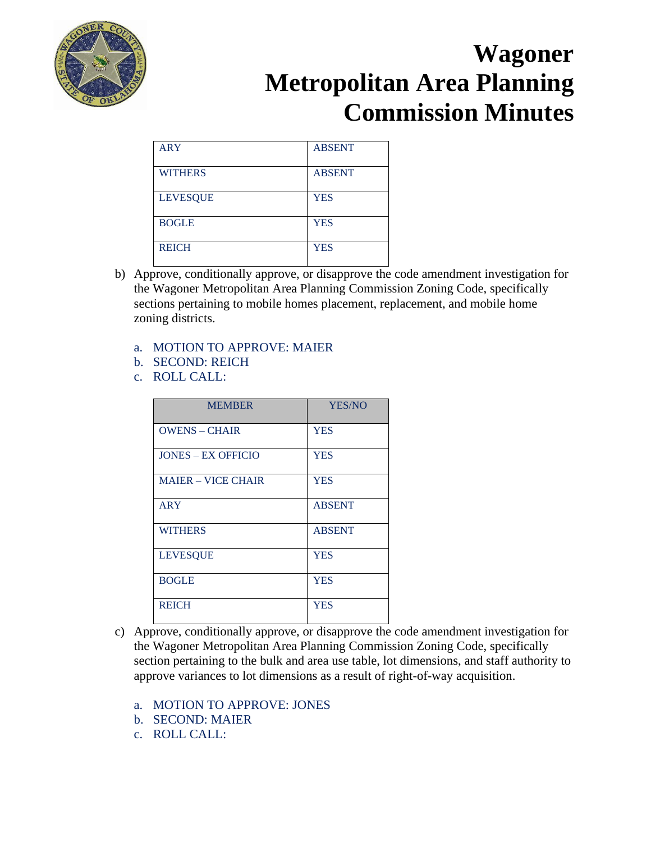

| <b>ARY</b>      | <b>ABSENT</b> |
|-----------------|---------------|
| <b>WITHERS</b>  | <b>ABSENT</b> |
| <b>LEVESQUE</b> | <b>YES</b>    |
| <b>BOGLE</b>    | <b>YES</b>    |
| <b>REICH</b>    | <b>YES</b>    |

- b) Approve, conditionally approve, or disapprove the code amendment investigation for the Wagoner Metropolitan Area Planning Commission Zoning Code, specifically sections pertaining to mobile homes placement, replacement, and mobile home zoning districts.
	- a. MOTION TO APPROVE: MAIER
	- b. SECOND: REICH
	- c. ROLL CALL:

| <b>MEMBER</b>             | YES/NO        |
|---------------------------|---------------|
| <b>OWENS - CHAIR</b>      | <b>YES</b>    |
| <b>JONES – EX OFFICIO</b> | <b>YES</b>    |
| <b>MAIER - VICE CHAIR</b> | <b>YES</b>    |
| <b>ARY</b>                | <b>ABSENT</b> |
| <b>WITHERS</b>            | <b>ABSENT</b> |
| <b>LEVESQUE</b>           | <b>YES</b>    |
| <b>BOGLE</b>              | <b>YES</b>    |
| <b>REICH</b>              | <b>YES</b>    |

- c) Approve, conditionally approve, or disapprove the code amendment investigation for the Wagoner Metropolitan Area Planning Commission Zoning Code, specifically section pertaining to the bulk and area use table, lot dimensions, and staff authority to approve variances to lot dimensions as a result of right-of-way acquisition.
	- a. MOTION TO APPROVE: JONES
	- b. SECOND: MAIER
	- c. ROLL CALL: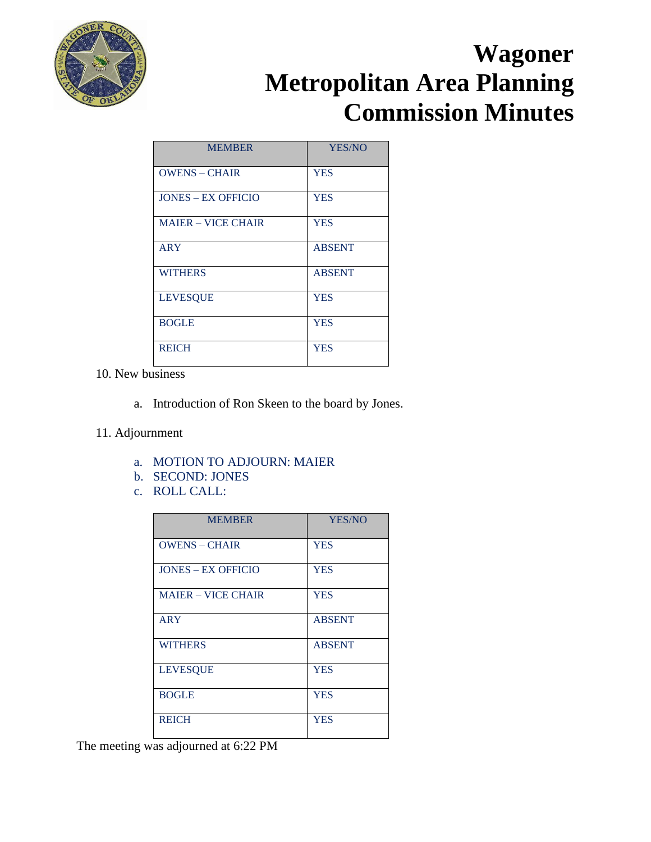

| <b>MEMBER</b>             | YES/NO        |
|---------------------------|---------------|
| <b>OWENS - CHAIR</b>      | <b>YES</b>    |
| <b>JONES – EX OFFICIO</b> | <b>YES</b>    |
| <b>MAIER - VICE CHAIR</b> | <b>YES</b>    |
| <b>ARY</b>                | <b>ABSENT</b> |
| <b>WITHERS</b>            | <b>ABSENT</b> |
| <b>LEVESQUE</b>           | <b>YES</b>    |
| <b>BOGLE</b>              | <b>YES</b>    |
| <b>REICH</b>              | <b>YES</b>    |

10. New business

- a. Introduction of Ron Skeen to the board by Jones.
- 11. Adjournment
	- a. MOTION TO ADJOURN: MAIER
	- b. SECOND: JONES
	- c. ROLL CALL:

| <b>MEMBER</b>             | YES/NO        |
|---------------------------|---------------|
| <b>OWENS – CHAIR</b>      | <b>YES</b>    |
| <b>JONES – EX OFFICIO</b> | <b>YES</b>    |
| <b>MAJER – VICE CHAIR</b> | <b>YES</b>    |
| <b>ARY</b>                | <b>ABSENT</b> |
| <b>WITHERS</b>            | <b>ABSENT</b> |
| <b>LEVESQUE</b>           | <b>YES</b>    |
| <b>BOGLE</b>              | <b>YES</b>    |
| <b>REICH</b>              | <b>YES</b>    |

The meeting was adjourned at 6:22 PM